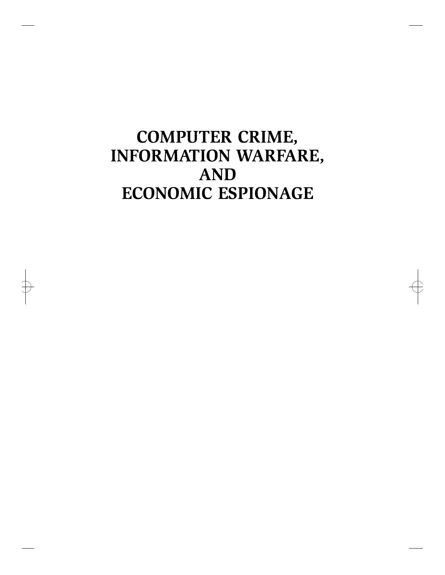## **COMPUTER CRIME, INFORMATION WARFARE, AND ECONOMIC ESPIONAGE**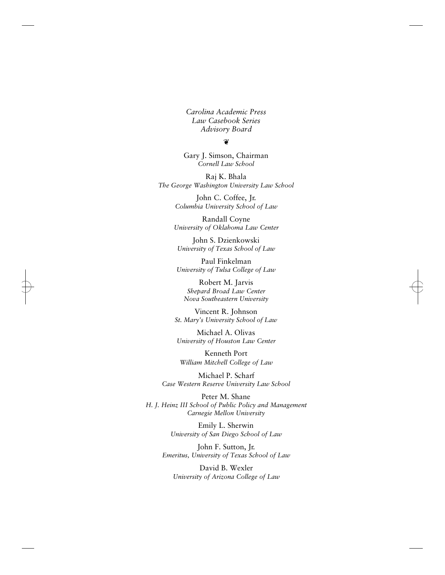*Carolina Academic Press Law Casebook Series Advisory Board*

 $\circled{6}$ 

Gary J. Simson, Chairman *Cornell Law School*

Raj K. Bhala *The George Washington University Law School*

> John C. Coffee, Jr. *Columbia University School of Law*

Randall Coyne *University of Oklahoma Law Center*

John S. Dzienkowski *University of Texas School of Law*

Paul Finkelman *University of Tulsa College of Law*

Robert M. Jarvis *Shepard Broad Law Center Nova Southeastern University*

Vincent R. Johnson *St. Mary's University School of Law*

Michael A. Olivas *University of Houston Law Center*

Kenneth Port *William Mitchell College of Law*

Michael P. Scharf *Case Western Reserve University Law School*

Peter M. Shane *H. J. Heinz III School of Public Policy and Management Carnegie Mellon University*

> Emily L. Sherwin *University of San Diego School of Law*

John F. Sutton, Jr. *Emeritus, University of Texas School of Law*

David B. Wexler *University of Arizona College of Law*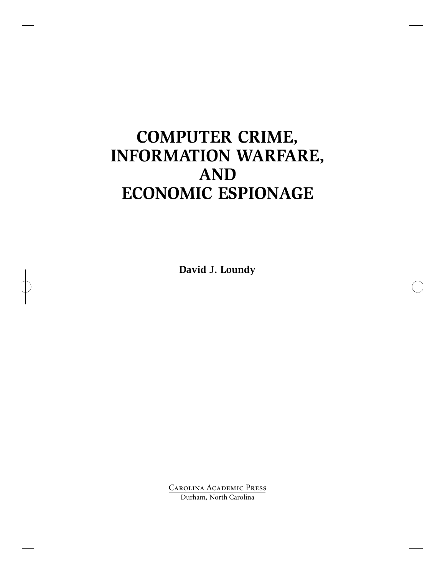## **COMPUTER CRIME, INFORMATION WARFARE, AND ECONOMIC ESPIONAGE**

**David J. Loundy**

Carolina Academic Press Durham, North Carolina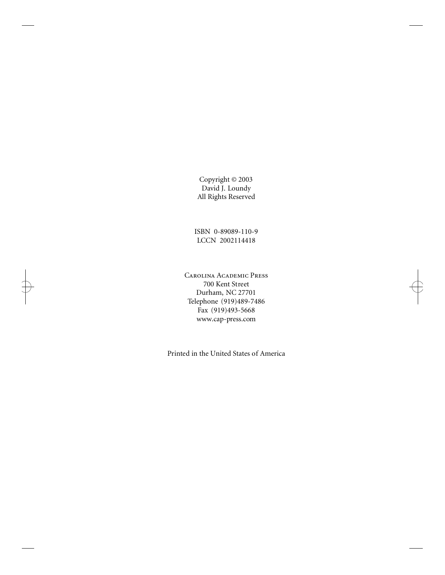Copyright © 2003 David J. Loundy All Rights Reserved

ISBN 0-89089-110-9 LCCN 2002114418

Carolina Academic Press 700 Kent Street Durham, NC 27701 Telephone (919)489-7486 Fax (919)493-5668 www.cap-press.com

Printed in the United States of America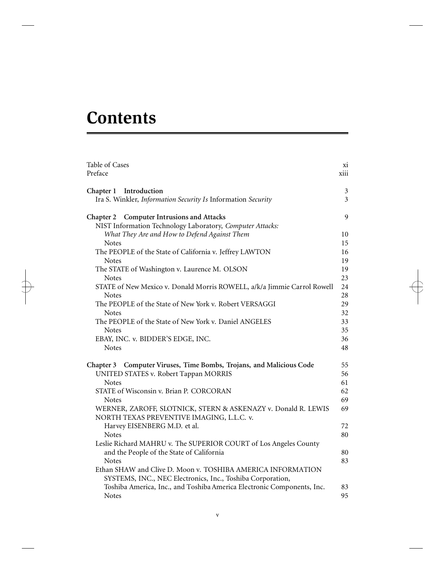# **Contents**

 $\Rightarrow$ 

| Table of Cases<br>Preface                                               | XI.<br>xiii |
|-------------------------------------------------------------------------|-------------|
| Introduction<br>Chapter 1                                               | 3           |
| Ira S. Winkler, Information Security Is Information Security            | 3           |
| <b>Computer Intrusions and Attacks</b><br>Chapter 2                     | 9           |
| NIST Information Technology Laboratory, Computer Attacks:               |             |
| What They Are and How to Defend Against Them                            | 10          |
| <b>Notes</b>                                                            | 15          |
| The PEOPLE of the State of California v. Jeffrey LAWTON                 | 16          |
| <b>Notes</b>                                                            | 19          |
| The STATE of Washington v. Laurence M. OLSON                            | 19          |
| <b>Notes</b>                                                            | 23          |
| STATE of New Mexico v. Donald Morris ROWELL, a/k/a Jimmie Carrol Rowell | 24          |
| <b>Notes</b>                                                            | 28          |
| The PEOPLE of the State of New York v. Robert VERSAGGI                  | 29          |
| <b>Notes</b>                                                            | 32          |
| The PEOPLE of the State of New York v. Daniel ANGELES                   | 33          |
| <b>Notes</b>                                                            | 35          |
| EBAY, INC. v. BIDDER'S EDGE, INC.                                       | 36          |
| <b>Notes</b>                                                            | 48          |
| Chapter 3 Computer Viruses, Time Bombs, Trojans, and Malicious Code     | 55          |
| UNITED STATES v. Robert Tappan MORRIS                                   | 56          |
| <b>Notes</b>                                                            | 61          |
| STATE of Wisconsin v. Brian P. CORCORAN                                 | 62          |
| <b>Notes</b>                                                            | 69          |
| WERNER, ZAROFF, SLOTNICK, STERN & ASKENAZY v. Donald R. LEWIS           | 69          |
| NORTH TEXAS PREVENTIVE IMAGING, L.L.C. v.                               |             |
| Harvey EISENBERG M.D. et al.                                            | 72          |
| <b>Notes</b>                                                            | 80          |
| Leslie Richard MAHRU v. The SUPERIOR COURT of Los Angeles County        |             |
| and the People of the State of California                               | 80          |
| <b>Notes</b>                                                            | 83          |
| Ethan SHAW and Clive D. Moon v. TOSHIBA AMERICA INFORMATION             |             |
| SYSTEMS, INC., NEC Electronics, Inc., Toshiba Corporation,              |             |
| Toshiba America, Inc., and Toshiba America Electronic Components, Inc.  | 83          |
| <b>Notes</b>                                                            | 95          |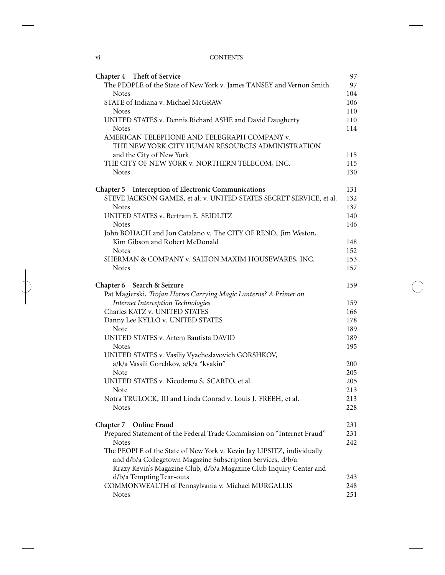### vi CONTENTS

| Chapter 4 Theft of Service                                                    | 97         |
|-------------------------------------------------------------------------------|------------|
| The PEOPLE of the State of New York v. James TANSEY and Vernon Smith          | 97         |
| <b>Notes</b>                                                                  | 104        |
| STATE of Indiana v. Michael McGRAW                                            | 106        |
| <b>Notes</b>                                                                  | 110        |
| UNITED STATES v. Dennis Richard ASHE and David Daugherty                      | 110        |
| Notes                                                                         | 114        |
| AMERICAN TELEPHONE AND TELEGRAPH COMPANY v.                                   |            |
| THE NEW YORK CITY HUMAN RESOURCES ADMINISTRATION                              |            |
| and the City of New York                                                      | 115<br>115 |
| THE CITY OF NEW YORK v. NORTHERN TELECOM, INC.<br><b>Notes</b>                | 130        |
|                                                                               |            |
| Chapter 5 Interception of Electronic Communications                           | 131        |
| STEVE JACKSON GAMES, et al. v. UNITED STATES SECRET SERVICE, et al.           | 132        |
| Notes                                                                         | 137        |
| UNITED STATES v. Bertram E. SEIDLITZ                                          | 140        |
| <b>Notes</b>                                                                  | 146        |
| John BOHACH and Jon Catalano v. The CITY OF RENO, Jim Weston,                 |            |
| Kim Gibson and Robert McDonald                                                | 148        |
| <b>Notes</b>                                                                  | 152        |
| SHERMAN & COMPANY v. SALTON MAXIM HOUSEWARES, INC.                            | 153        |
| Notes                                                                         | 157        |
| Chapter 6 Search & Seizure                                                    | 159        |
| Pat Magierski, Trojan Horses Carrying Magic Lanterns? A Primer on             |            |
| Internet Interception Technologies                                            | 159        |
| Charles KATZ v. UNITED STATES                                                 | 166        |
| Danny Lee KYLLO v. UNITED STATES                                              | 178        |
| Note                                                                          | 189        |
| UNITED STATES v. Artem Bautista DAVID                                         | 189        |
| <b>Notes</b>                                                                  | 195        |
| UNITED STATES v. Vasiliy Vyacheslavovich GORSHKOV,                            |            |
| a/k/a Vassili Gorchkov, a/k/a "kvakin"                                        | 200        |
| Note                                                                          | 205        |
| UNITED STATES v. Nicodemo S. SCARFO, et al.                                   | 205        |
| Note                                                                          | 213        |
| Notra TRULOCK, III and Linda Conrad v. Louis J. FREEH, et al.<br><b>Notes</b> | 213<br>228 |
|                                                                               |            |
| Online Fraud<br>Chapter 7                                                     | 231        |
| Prepared Statement of the Federal Trade Commission on "Internet Fraud"        | 231        |
| <b>Notes</b>                                                                  | 242        |
| The PEOPLE of the State of New York v. Kevin Jay LIPSITZ, individually        |            |
| and d/b/a Collegetown Magazine Subscription Services, d/b/a                   |            |
| Krazy Kevin's Magazine Club, d/b/a Magazine Club Inquiry Center and           |            |
| d/b/a Tempting Tear-outs                                                      | 243        |
| COMMONWEALTH of Pennsylvania v. Michael MURGALLIS                             | 248        |
| Notes                                                                         | 251        |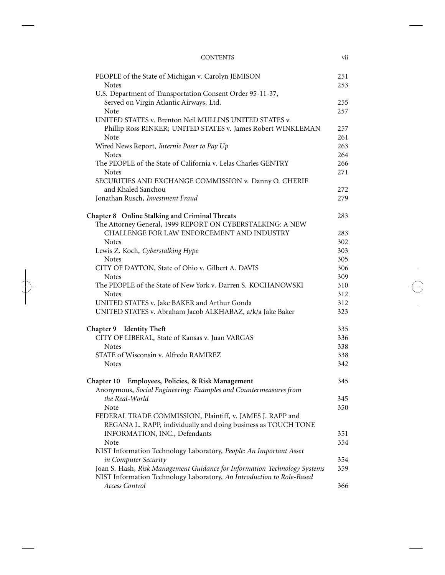#### CONTENTS vii

| PEOPLE of the State of Michigan v. Carolyn JEMISON<br><b>Notes</b>        | 251<br>253 |
|---------------------------------------------------------------------------|------------|
| U.S. Department of Transportation Consent Order 95-11-37,                 |            |
| Served on Virgin Atlantic Airways, Ltd.                                   | 255        |
| Note                                                                      | 257        |
| UNITED STATES v. Brenton Neil MULLINS UNITED STATES v.                    |            |
| Phillip Ross RINKER; UNITED STATES v. James Robert WINKLEMAN              | 257        |
| Note                                                                      | 261        |
| Wired News Report, Internic Poser to Pay Up                               | 263        |
| <b>Notes</b>                                                              | 264        |
| The PEOPLE of the State of California v. Lelas Charles GENTRY             | 266        |
| <b>Notes</b>                                                              | 271        |
| SECURITIES AND EXCHANGE COMMISSION v. Danny O. CHERIF                     |            |
| and Khaled Sanchou                                                        | 272        |
| Jonathan Rusch, Investment Fraud                                          | 279        |
|                                                                           |            |
| Chapter 8 Online Stalking and Criminal Threats                            | 283        |
| The Attorney General, 1999 REPORT ON CYBERSTALKING: A NEW                 |            |
| CHALLENGE FOR LAW ENFORCEMENT AND INDUSTRY                                | 283        |
| <b>Notes</b>                                                              | 302        |
| Lewis Z. Koch, Cyberstalking Hype                                         | 303        |
| <b>Notes</b>                                                              | 305        |
| CITY OF DAYTON, State of Ohio v. Gilbert A. DAVIS                         | 306        |
| <b>Notes</b>                                                              | 309        |
| The PEOPLE of the State of New York v. Darren S. KOCHANOWSKI              | 310        |
| <b>Notes</b>                                                              | 312        |
| UNITED STATES v. Jake BAKER and Arthur Gonda                              | 312        |
| UNITED STATES v. Abraham Jacob ALKHABAZ, a/k/a Jake Baker                 | 323        |
| Chapter 9 Identity Theft                                                  | 335        |
| CITY OF LIBERAL, State of Kansas v. Juan VARGAS                           | 336        |
| <b>Notes</b>                                                              | 338        |
| STATE of Wisconsin v. Alfredo RAMIREZ                                     | 338        |
| <b>Notes</b>                                                              | 342        |
|                                                                           |            |
| Chapter 10 Employees, Policies, & Risk Management                         | 345        |
| Anonymous, Social Engineering: Examples and Countermeasures from          |            |
| the Real-World                                                            | 345        |
| Note                                                                      | 350        |
| FEDERAL TRADE COMMISSION, Plaintiff, v. JAMES J. RAPP and                 |            |
| REGANA L. RAPP, individually and doing business as TOUCH TONE             |            |
| INFORMATION, INC., Defendants                                             | 351        |
| Note                                                                      | 354        |
| NIST Information Technology Laboratory, People: An Important Asset        |            |
| in Computer Security                                                      | 354        |
| Joan S. Hash, Risk Management Guidance for Information Technology Systems | 359        |
| NIST Information Technology Laboratory, An Introduction to Role-Based     |            |
| Access Control                                                            | 366        |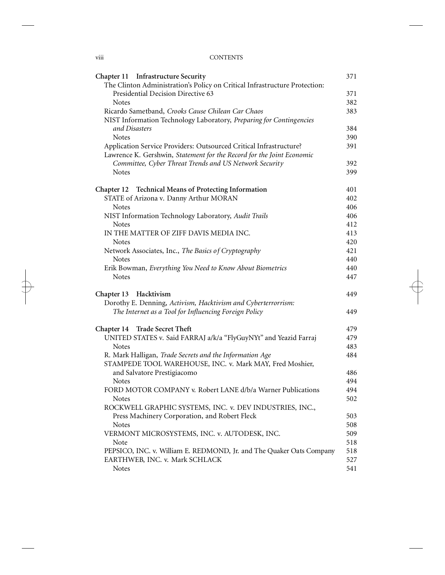#### viii CONTENTS

| Chapter 11 Infrastructure Security                                         | 371 |
|----------------------------------------------------------------------------|-----|
| The Clinton Administration's Policy on Critical Infrastructure Protection: |     |
| Presidential Decision Directive 63                                         | 371 |
| <b>Notes</b>                                                               | 382 |
| Ricardo Sametband, Crooks Cause Chilean Car Chaos                          | 383 |
| NIST Information Technology Laboratory, Preparing for Contingencies        |     |
| and Disasters                                                              | 384 |
| <b>Notes</b>                                                               | 390 |
| Application Service Providers: Outsourced Critical Infrastructure?         | 391 |
| Lawrence K. Gershwin, Statement for the Record for the Joint Economic      |     |
| Committee, Cyber Threat Trends and US Network Security                     | 392 |
| <b>Notes</b>                                                               | 399 |
| <b>Chapter 12  Technical Means of Protecting Information</b>               | 401 |
| STATE of Arizona v. Danny Arthur MORAN                                     | 402 |
| <b>Notes</b>                                                               | 406 |
| NIST Information Technology Laboratory, Audit Trails                       | 406 |
| Notes                                                                      | 412 |
| IN THE MATTER OF ZIFF DAVIS MEDIA INC.                                     | 413 |
| Notes                                                                      | 420 |
| Network Associates, Inc., The Basics of Cryptography                       | 421 |
| <b>Notes</b>                                                               | 440 |
| Erik Bowman, Everything You Need to Know About Biometrics                  | 440 |
| <b>Notes</b>                                                               | 447 |
| Chapter 13 Hacktivism                                                      | 449 |
| Dorothy E. Denning, Activism, Hacktivism and Cyberterrorrism:              |     |
| The Internet as a Tool for Influencing Foreign Policy                      | 449 |
| Chapter 14 Trade Secret Theft                                              | 479 |
| UNITED STATES v. Said FARRAJ a/k/a "FlyGuyNYt" and Yeazid Farraj           | 479 |
| <b>Notes</b>                                                               | 483 |
| R. Mark Halligan, Trade Secrets and the Information Age                    | 484 |
| STAMPEDE TOOL WAREHOUSE, INC. v. Mark MAY, Fred Moshier,                   |     |
| and Salvatore Prestigiacomo                                                | 486 |
| <b>Notes</b>                                                               | 494 |
| FORD MOTOR COMPANY v. Robert LANE d/b/a Warner Publications                | 494 |
| Notes                                                                      | 502 |
| ROCKWELL GRAPHIC SYSTEMS, INC. v. DEV INDUSTRIES, INC.,                    |     |
| Press Machinery Corporation, and Robert Fleck                              | 503 |
| <b>Notes</b>                                                               | 508 |
| VERMONT MICROSYSTEMS, INC. v. AUTODESK, INC.                               | 509 |
| Note                                                                       | 518 |
| PEPSICO, INC. v. William E. REDMOND, Jr. and The Quaker Oats Company       | 518 |
| EARTHWEB, INC. v. Mark SCHLACK                                             | 527 |
| Notes                                                                      | 541 |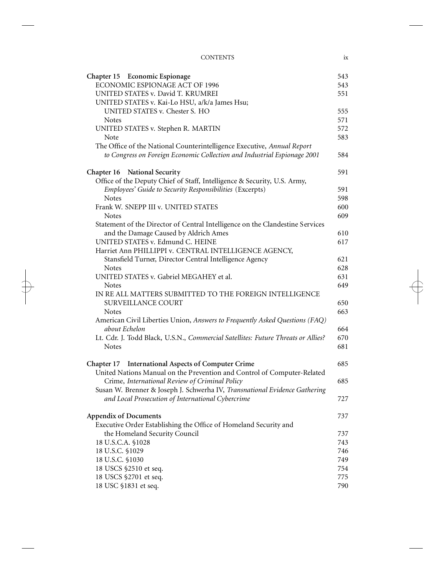CONTENTS ix

| Chapter 15 Economic Espionage<br>ECONOMIC ESPIONAGE ACT OF 1996                  | 543<br>543 |
|----------------------------------------------------------------------------------|------------|
| UNITED STATES v. David T. KRUMREI                                                | 551        |
| UNITED STATES v. Kai-Lo HSU, a/k/a James Hsu;                                    |            |
| UNITED STATES v. Chester S. HO                                                   | 555        |
| <b>Notes</b>                                                                     | 571        |
| UNITED STATES v. Stephen R. MARTIN                                               | 572        |
| Note                                                                             | 583        |
| The Office of the National Counterintelligence Executive, Annual Report          |            |
| to Congress on Foreign Economic Collection and Industrial Espionage 2001         | 584        |
| Chapter 16 National Security                                                     | 591        |
| Office of the Deputy Chief of Staff, Intelligence & Security, U.S. Army,         |            |
| Employees' Guide to Security Responsibilities (Excerpts)                         | 591        |
| <b>Notes</b>                                                                     | 598        |
| Frank W. SNEPP III v. UNITED STATES                                              | 600        |
| <b>Notes</b>                                                                     | 609        |
| Statement of the Director of Central Intelligence on the Clandestine Services    |            |
| and the Damage Caused by Aldrich Ames                                            | 610        |
| UNITED STATES v. Edmund C. HEINE                                                 | 617        |
| Harriet Ann PHILLIPPI v. CENTRAL INTELLIGENCE AGENCY,                            | 621        |
| Stansfield Turner, Director Central Intelligence Agency<br><b>Notes</b>          | 628        |
| UNITED STATES v. Gabriel MEGAHEY et al.                                          | 631        |
| <b>Notes</b>                                                                     | 649        |
| IN RE ALL MATTERS SUBMITTED TO THE FOREIGN INTELLIGENCE                          |            |
| <b>SURVEILLANCE COURT</b>                                                        | 650        |
| Notes                                                                            | 663        |
| American Civil Liberties Union, Answers to Frequently Asked Questions (FAQ)      |            |
| about Echelon                                                                    | 664        |
| Lt. Cdr. J. Todd Black, U.S.N., Commercial Satellites: Future Threats or Allies? | 670        |
| <b>Notes</b>                                                                     | 681        |
| Chapter 17 International Aspects of Computer Crime                               | 685        |
| United Nations Manual on the Prevention and Control of Computer-Related          |            |
| Crime, International Review of Criminal Policy                                   | 685        |
| Susan W. Brenner & Joseph J. Schwerha IV, Transnational Evidence Gathering       |            |
| and Local Prosecution of International Cybercrime                                | 727        |
| <b>Appendix of Documents</b>                                                     | 737        |
| Executive Order Establishing the Office of Homeland Security and                 |            |
| the Homeland Security Council                                                    | 737        |
| 18 U.S.C.A. §1028                                                                | 743        |
| 18 U.S.C. §1029                                                                  | 746        |
| 18 U.S.C. §1030                                                                  | 749        |
| 18 USCS §2510 et seq.                                                            | 754        |
| 18 USCS §2701 et seq.                                                            | 775        |
| 18 USC §1831 et seq.                                                             | 790        |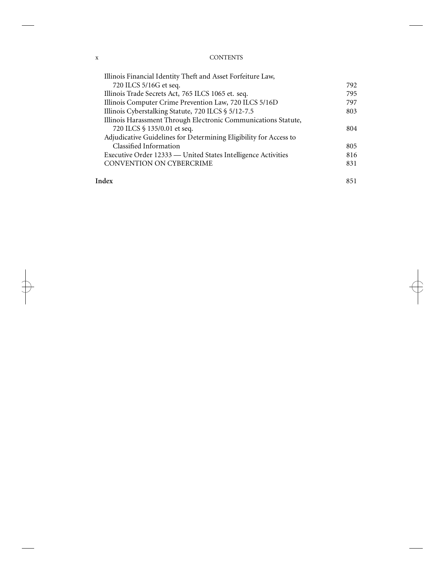### x CONTENTS

| 720 ILCS 5/16G et seq.<br>Illinois Trade Secrets Act, 765 ILCS 1065 et. seq.<br>Illinois Computer Crime Prevention Law, 720 ILCS 5/16D<br>Illinois Cyberstalking Statute, 720 ILCS § 5/12-7.5<br>Illinois Harassment Through Electronic Communications Statute,<br>720 ILCS § 135/0.01 et seq.<br>Adjudicative Guidelines for Determining Eligibility for Access to<br>Classified Information<br>Executive Order 12333 — United States Intelligence Activities<br><b>CONVENTION ON CYBERCRIME</b> | Illinois Financial Identity Theft and Asset Forfeiture Law, |     |
|---------------------------------------------------------------------------------------------------------------------------------------------------------------------------------------------------------------------------------------------------------------------------------------------------------------------------------------------------------------------------------------------------------------------------------------------------------------------------------------------------|-------------------------------------------------------------|-----|
|                                                                                                                                                                                                                                                                                                                                                                                                                                                                                                   |                                                             | 792 |
|                                                                                                                                                                                                                                                                                                                                                                                                                                                                                                   |                                                             | 795 |
|                                                                                                                                                                                                                                                                                                                                                                                                                                                                                                   |                                                             | 797 |
|                                                                                                                                                                                                                                                                                                                                                                                                                                                                                                   |                                                             | 803 |
|                                                                                                                                                                                                                                                                                                                                                                                                                                                                                                   |                                                             |     |
|                                                                                                                                                                                                                                                                                                                                                                                                                                                                                                   |                                                             | 804 |
|                                                                                                                                                                                                                                                                                                                                                                                                                                                                                                   |                                                             |     |
|                                                                                                                                                                                                                                                                                                                                                                                                                                                                                                   |                                                             | 805 |
|                                                                                                                                                                                                                                                                                                                                                                                                                                                                                                   |                                                             | 816 |
|                                                                                                                                                                                                                                                                                                                                                                                                                                                                                                   |                                                             | 831 |
|                                                                                                                                                                                                                                                                                                                                                                                                                                                                                                   | Index                                                       | 851 |

 $\pm$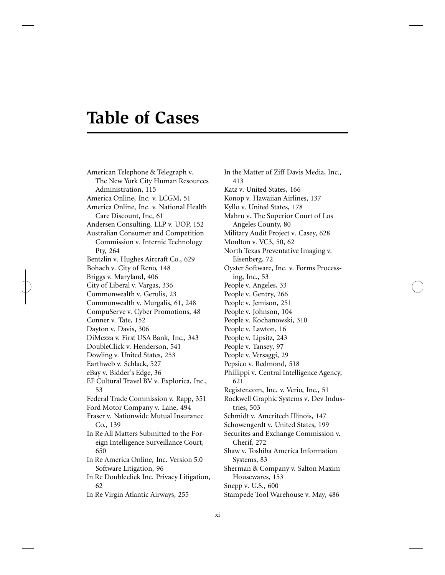## **Table of Cases**

American Telephone & Telegraph v. The New York City Human Resources Administration, 115 America Online, Inc. v. LCGM, 51 America Online, Inc. v. National Health Care Discount, Inc, 61 Andersen Consulting, LLP v. UOP, 152 Australian Consumer and Competition Commission v. Internic Technology Pty, 264 Bentzlin v. Hughes Aircraft Co., 629 Bohach v. City of Reno, 148 Briggs v. Maryland, 406 City of Liberal v. Vargas, 336 Commonwealth v. Gerulis, 23 Commonwealth v. Murgalis, 61, 248 CompuServe v. Cyber Promotions, 48 Conner v. Tate, 152 Dayton v. Davis, 306 DiMezza v. First USA Bank, Inc., 343 DoubleClick v. Henderson, 541 Dowling v. United States, 253 Earthweb v. Schlack, 527 eBay v. Bidder's Edge, 36 EF Cultural Travel BV v. Explorica, Inc., 53 Federal Trade Commission v. Rapp, 351 Ford Motor Company v. Lane, 494 Fraser v. Nationwide Mutual Insurance Co., 139 In Re All Matters Submitted to the Foreign Intelligence Surveillance Court, 650 In Re America Online, Inc. Version 5.0 Software Litigation, 96 In Re Doubleclick Inc. Privacy Litigation, 62 In Re Virgin Atlantic Airways, 255

In the Matter of Ziff Davis Media, Inc., 413 Katz v. United States, 166 Konop v. Hawaiian Airlines, 137 Kyllo v. United States, 178 Mahru v. The Superior Court of Los Angeles County, 80 Military Audit Project v. Casey, 628 Moulton v. VC3, 50, 62 North Texas Preventative Imaging v. Eisenberg, 72 Oyster Software, Inc. v. Forms Processing, Inc., 53 People v. Angeles, 33 People v. Gentry, 266 People v. Jemison, 251 People v. Johnson, 104 People v. Kochanowski, 310 People v. Lawton, 16 People v. Lipsitz, 243 People v. Tansey, 97 People v. Versaggi, 29 Pepsico v. Redmond, 518 Phillippi v. Central Intelligence Agency, 621 Register.com, Inc. v. Verio, Inc., 51 Rockwell Graphic Systems v. Dev Industries, 503 Schmidt v. Ameritech Illinois, 147 Schowengerdt v. United States, 199 Securites and Exchange Commission v. Cherif, 272 Shaw v. Toshiba America Information Systems, 83 Sherman & Company v. Salton Maxim Housewares, 153 Snepp v. U.S., 600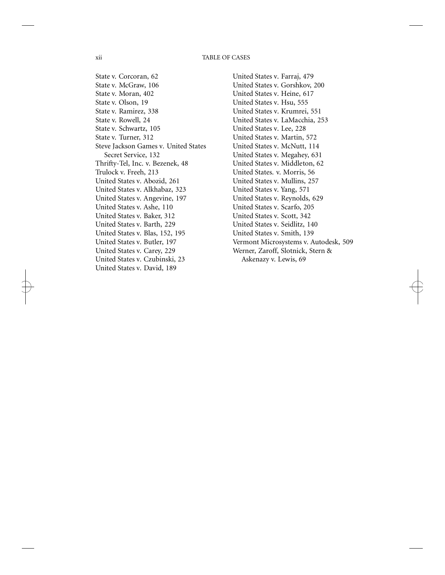#### xii TABLE OF CASES

State v. Corcoran, 62 State v. McGraw, 106 State v. Moran, 402 State v. Olson, 19 State v. Ramirez, 338 State v. Rowell, 24 State v. Schwartz, 105 State v. Turner, 312 Steve Jackson Games v. United States Secret Service, 132 Thrifty-Tel, Inc. v. Bezenek, 48 Trulock v. Freeh, 213 United States v. Abozid, 261 United States v. Alkhabaz, 323 United States v. Angevine, 197 United States v. Ashe, 110 United States v. Baker, 312 United States v. Barth, 229 United States v. Blas, 152, 195 United States v. Butler, 197 United States v. Carey, 229 United States v. Czubinski, 23 United States v. David, 189

United States v. Farraj, 479 United States v. Gorshkov, 200 United States v. Heine, 617 United States v. Hsu, 555 United States v. Krumrei, 551 United States v. LaMacchia, 253 United States v. Lee, 228 United States v. Martin, 572 United States v. McNutt, 114 United States v. Megahey, 631 United States v. Middleton, 62 United States. v. Morris, 56 United States v. Mullins, 257 United States v. Yang, 571 United States v. Reynolds, 629 United States v. Scarfo, 205 United States v. Scott, 342 United States v. Seidlitz, 140 United States v. Smith, 139 Vermont Microsystems v. Autodesk, 509 Werner, Zaroff, Slotnick, Stern & Askenazy v. Lewis, 69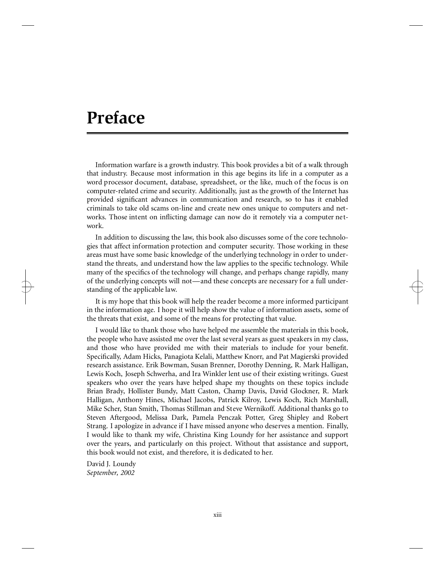## **Preface**

Information warfare is a growth industry. This book provides a bit of a walk through that industry. Because most information in this age begins its life in a computer as a word processor document, database, spreadsheet, or the like, much of the focus is on computer-related crime and security. Additionally, just as the growth of the Internet has provided significant advances in communication and research, so to has it enabled criminals to take old scams on-line and create new ones unique to computers and networks. Those intent on inflicting damage can now do it remotely via a computer network.

In addition to discussing the law, this book also discusses some of the core technologies that affect information protection and computer security. Those working in these areas must have some basic knowledge of the underlying technology in order to understand the threats, and understand how the law applies to the specific technology. While many of the specifics of the technology will change, and perhaps change rapidly, many of the underlying concepts will not—and these concepts are necessary for a full understanding of the applicable law.

It is my hope that this book will help the reader become a more informed participant in the information age. I hope it will help show the value of information assets, some of the threats that exist, and some of the means for protecting that value.

I would like to thank those who have helped me assemble the materials in this book, the people who have assisted me over the last several years as guest speakers in my class, and those who have provided me with their materials to include for your benefit. Specifically, Adam Hicks, Panagiota Kelali, Matthew Knorr, and Pat Magierski provided research assistance. Erik Bowman, Susan Brenner, Dorothy Denning, R. Mark Halligan, Lewis Koch, Joseph Schwerha, and Ira Winkler lent use of their existing writings. Guest speakers who over the years have helped shape my thoughts on these topics include Brian Brady, Hollister Bundy, Matt Caston, Champ Davis, David Glockner, R. Mark Halligan, Anthony Hines, Michael Jacobs, Patrick Kilroy, Lewis Koch, Rich Marshall, Mike Scher, Stan Smith, Thomas Stillman and Steve Wernikoff. Additional thanks go to Steven Aftergood, Melissa Dark, Pamela Penczak Potter, Greg Shipley and Robert Strang. I apologize in advance if I have missed anyone who deserves a mention. Finally, I would like to thank my wife, Christina King Loundy for her assistance and support over the years, and particularly on this project. Without that assistance and support, this book would not exist, and therefore, it is dedicated to her.

David J. Loundy *September, 2002*